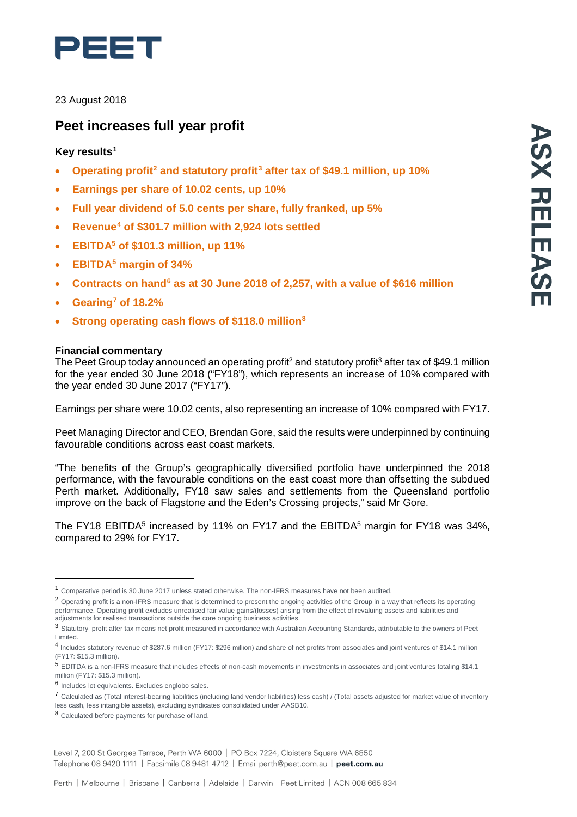

23 August 2018

# **Peet increases full year profit**

## **Key results[1](#page-0-0)**

- **Operating profit[2](#page-0-1) and statutory profit[3](#page-0-2) after tax of \$49.1 million, up 10%**
- **Earnings per share of 10.02 cents, up 10%**
- **Full year dividend of 5.0 cents per share, fully franked, up 5%**
- **Revenue[4](#page-0-3) of \$301.7 million with 2,924 lots settled**
- **EBITDA5 of \$101.3 million, up 11%**
- **EBITDA[5](#page-0-4) margin of 34%**
- **Contracts on hand[6](#page-0-5) as at 30 June 2018 of 2,257, with a value of \$616 million**
- **Gearing[7](#page-0-6) of 18.2%**
- **Strong operating cash flows of \$118.0 million[8](#page-0-7)**

### **Financial commentary**

The Peet Group today announced an operating profit<sup>2</sup> and statutory profit<sup>3</sup> after tax of \$49.1 million for the year ended 30 June 2018 ("FY18"), which represents an increase of 10% compared with the year ended 30 June 2017 ("FY17").

Earnings per share were 10.02 cents, also representing an increase of 10% compared with FY17.

Peet Managing Director and CEO, Brendan Gore, said the results were underpinned by continuing favourable conditions across east coast markets.

"The benefits of the Group's geographically diversified portfolio have underpinned the 2018 performance, with the favourable conditions on the east coast more than offsetting the subdued Perth market. Additionally, FY18 saw sales and settlements from the Queensland portfolio improve on the back of Flagstone and the Eden's Crossing projects," said Mr Gore.

The FY18 EBITDA<sup>5</sup> increased by 11% on FY17 and the EBITDA<sup>5</sup> margin for FY18 was 34%, compared to 29% for FY17.

<span id="page-0-0"></span><sup>1</sup> Comparative period is <sup>30</sup> June <sup>2017</sup> unless stated otherwise. The non-IFRS measures have not been audited.

<span id="page-0-1"></span><sup>2</sup> Operating profit is a non-IFRS measure that is determined to present the ongoing activities of the Group in a way that reflects its operating performance. Operating profit excludes unrealised fair value gains/(losses) arising from the effect of revaluing assets and liabilities and adjustments for realised transactions outside the core ongoing business activities.

<span id="page-0-2"></span><sup>3</sup> Statutory profit after tax means net profit measured in accordance with Australian Accounting Standards, attributable to the owners of Peet Limited.

<span id="page-0-3"></span><sup>4</sup> Includes statutory revenue of \$287.6 million (FY17: \$296 million) and share of net profits from associates and joint ventures of \$14.1 million (FY17: \$15.3 million).

<span id="page-0-4"></span><sup>5</sup> EDITDA is a non-IFRS measure that includes effects of non-cash movements in investments in associates and joint ventures totaling \$14.1 million (FY17: \$15.3 million).

<span id="page-0-5"></span><sup>6</sup> Includes lot equivalents. Excludes englobo sales.

<span id="page-0-6"></span><sup>7</sup> Calculated as (Total interest-bearing liabilities (including land vendor liabilities) less cash) / (Total assets adjusted for market value of inventory less cash, less intangible assets), excluding syndicates consolidated under AASB10.

<span id="page-0-7"></span><sup>8</sup> Calculated before payments for purchase of land.

Level 7, 200 St Georges Terrace, Perth WA 6000 | PO Box 7224, Cloisters Square WA 6850 Telephone 08 9420 1111 | Facsimile 08 9481 4712 | Email perth@peet.com.au | peet.com.au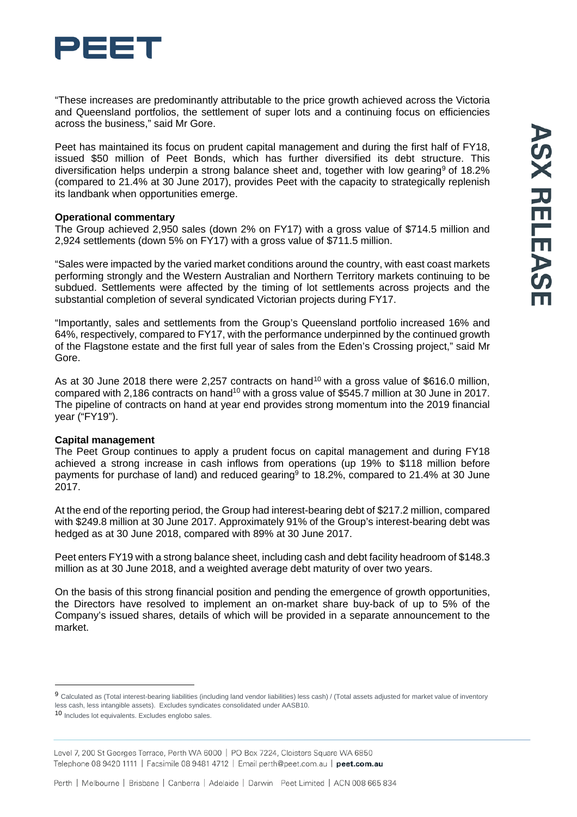

"These increases are predominantly attributable to the price growth achieved across the Victoria and Queensland portfolios, the settlement of super lots and a continuing focus on efficiencies across the business," said Mr Gore.

Peet has maintained its focus on prudent capital management and during the first half of FY18, issued \$50 million of Peet Bonds, which has further diversified its debt structure. This diversification helps underpin a strong balance sheet and, together with low gearing<sup>[9](#page-1-0)</sup> of 18.2% (compared to 21.4% at 30 June 2017), provides Peet with the capacity to strategically replenish its landbank when opportunities emerge.

#### **Operational commentary**

The Group achieved 2,950 sales (down 2% on FY17) with a gross value of \$714.5 million and 2,924 settlements (down 5% on FY17) with a gross value of \$711.5 million.

"Sales were impacted by the varied market conditions around the country, with east coast markets performing strongly and the Western Australian and Northern Territory markets continuing to be subdued. Settlements were affected by the timing of lot settlements across projects and the substantial completion of several syndicated Victorian projects during FY17.

"Importantly, sales and settlements from the Group's Queensland portfolio increased 16% and 64%, respectively, compared to FY17, with the performance underpinned by the continued growth of the Flagstone estate and the first full year of sales from the Eden's Crossing project," said Mr Gore.

As at 30 June 2018 there were 2,257 contracts on hand<sup>[10](#page-1-1)</sup> with a gross value of \$616.0 million, compared with 2,186 contracts on hand<sup>10</sup> with a gross value of \$545.7 million at 30 June in 2017. The pipeline of contracts on hand at year end provides strong momentum into the 2019 financial year ("FY19").

#### **Capital management**

The Peet Group continues to apply a prudent focus on capital management and during FY18 achieved a strong increase in cash inflows from operations (up 19% to \$118 million before payments for purchase of land) and reduced gearing<sup>9</sup> to 18.2%, compared to 21.4% at 30 June 2017.

At the end of the reporting period, the Group had interest-bearing debt of \$217.2 million, compared with \$249.8 million at 30 June 2017. Approximately 91% of the Group's interest-bearing debt was hedged as at 30 June 2018, compared with 89% at 30 June 2017.

Peet enters FY19 with a strong balance sheet, including cash and debt facility headroom of \$148.3 million as at 30 June 2018, and a weighted average debt maturity of over two years.

On the basis of this strong financial position and pending the emergence of growth opportunities, the Directors have resolved to implement an on-market share buy-back of up to 5% of the Company's issued shares, details of which will be provided in a separate announcement to the market.

<span id="page-1-0"></span><sup>9</sup> Calculated as (Total interest-bearing liabilities (including land vendor liabilities) less cash) / (Total assets adjusted for market value of inventory less cash, less intangible assets). Excludes syndicates consolidated under AASB10.

<span id="page-1-1"></span><sup>10</sup> Includes lot equivalents. Excludes englobo sales.

Level 7, 200 St Georges Terrace, Perth WA 6000 | PO Box 7224, Cloisters Square WA 6850 Telephone 08 9420 1111 | Facsimile 08 9481 4712 | Email perth@peet.com.au | peet.com.au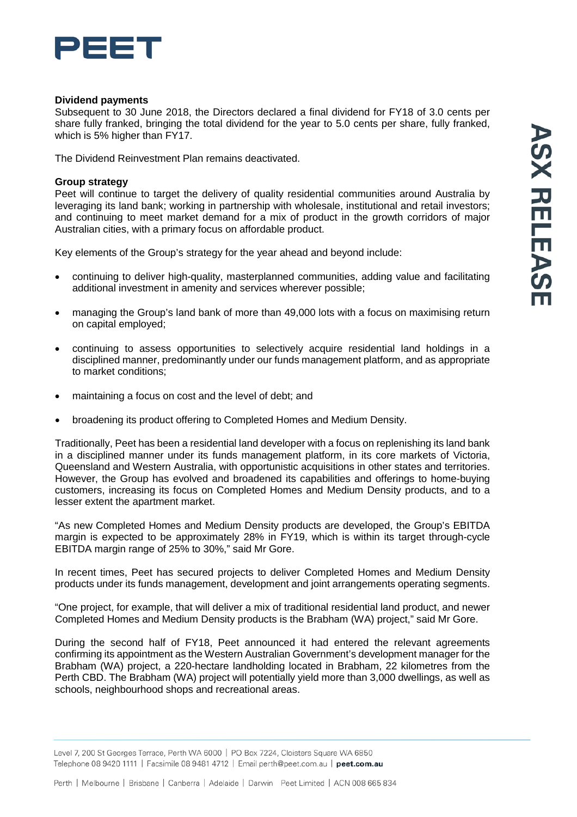

#### **Dividend payments**

Subsequent to 30 June 2018, the Directors declared a final dividend for FY18 of 3.0 cents per share fully franked, bringing the total dividend for the year to 5.0 cents per share, fully franked, which is 5% higher than FY17.

The Dividend Reinvestment Plan remains deactivated.

#### **Group strategy**

Peet will continue to target the delivery of quality residential communities around Australia by leveraging its land bank; working in partnership with wholesale, institutional and retail investors; and continuing to meet market demand for a mix of product in the growth corridors of major Australian cities, with a primary focus on affordable product.

Key elements of the Group's strategy for the year ahead and beyond include:

- continuing to deliver high-quality, masterplanned communities, adding value and facilitating additional investment in amenity and services wherever possible;
- managing the Group's land bank of more than 49,000 lots with a focus on maximising return on capital employed;
- continuing to assess opportunities to selectively acquire residential land holdings in a disciplined manner, predominantly under our funds management platform, and as appropriate to market conditions;
- maintaining a focus on cost and the level of debt; and
- broadening its product offering to Completed Homes and Medium Density.

Traditionally, Peet has been a residential land developer with a focus on replenishing its land bank in a disciplined manner under its funds management platform, in its core markets of Victoria, Queensland and Western Australia, with opportunistic acquisitions in other states and territories. However, the Group has evolved and broadened its capabilities and offerings to home-buying customers, increasing its focus on Completed Homes and Medium Density products, and to a lesser extent the apartment market.

"As new Completed Homes and Medium Density products are developed, the Group's EBITDA margin is expected to be approximately 28% in FY19, which is within its target through-cycle EBITDA margin range of 25% to 30%," said Mr Gore.

In recent times, Peet has secured projects to deliver Completed Homes and Medium Density products under its funds management, development and joint arrangements operating segments.

"One project, for example, that will deliver a mix of traditional residential land product, and newer Completed Homes and Medium Density products is the Brabham (WA) project," said Mr Gore.

During the second half of FY18, Peet announced it had entered the relevant agreements confirming its appointment as the Western Australian Government's development manager for the Brabham (WA) project, a 220-hectare landholding located in Brabham, 22 kilometres from the Perth CBD. The Brabham (WA) project will potentially yield more than 3,000 dwellings, as well as schools, neighbourhood shops and recreational areas.

Level 7, 200 St Georges Terrace, Perth WA 6000 | PO Box 7224, Cloisters Square WA 6850 Telephone 08 9420 1111 | Facsimile 08 9481 4712 | Email perth@peet.com.au | peet.com.au